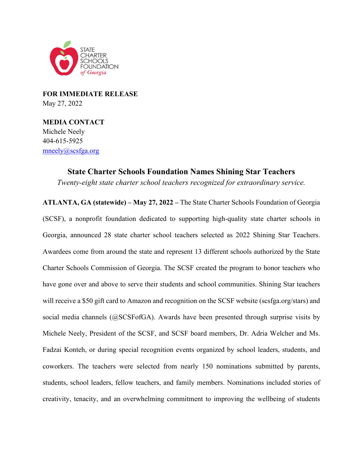

**FOR IMMEDIATE RELEASE** May 27, 2022

**MEDIA CONTACT** Michele Neely 404-615-5925 [mneely@scsfga.org](mailto:mneely@scsfga.org)

> **State Charter Schools Foundation Names Shining Star Teachers** *Twenty-eight state charter school teachers recognized for extraordinary service.*

**ATLANTA, GA (statewide) – May 27, 2022 –** The State Charter Schools Foundation of Georgia (SCSF), a nonprofit foundation dedicated to supporting high-quality state charter schools in Georgia, announced 28 state charter school teachers selected as 2022 Shining Star Teachers. Awardees come from around the state and represent 13 different schools authorized by the State Charter Schools Commission of Georgia. The SCSF created the program to honor teachers who have gone over and above to serve their students and school communities. Shining Star teachers will receive a \$50 gift card to Amazon and recognition on the SCSF website (scsfga.org/stars) and social media channels (@SCSFofGA). Awards have been presented through surprise visits by Michele Neely, President of the SCSF, and SCSF board members, Dr. Adria Welcher and Ms. Fadzai Konteh, or during special recognition events organized by school leaders, students, and coworkers. The teachers were selected from nearly 150 nominations submitted by parents, students, school leaders, fellow teachers, and family members. Nominations included stories of creativity, tenacity, and an overwhelming commitment to improving the wellbeing of students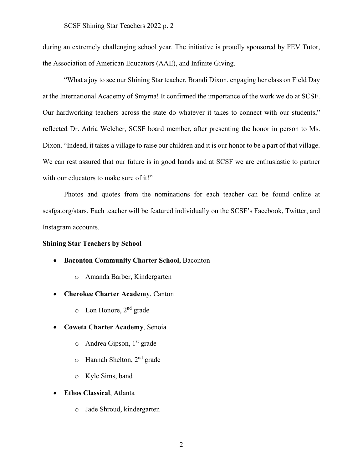during an extremely challenging school year. The initiative is proudly sponsored by FEV Tutor, the Association of American Educators (AAE), and Infinite Giving.

"What a joy to see our Shining Star teacher, Brandi Dixon, engaging her class on Field Day at the International Academy of Smyrna! It confirmed the importance of the work we do at SCSF. Our hardworking teachers across the state do whatever it takes to connect with our students," reflected Dr. Adria Welcher, SCSF board member, after presenting the honor in person to Ms. Dixon. "Indeed, it takes a village to raise our children and it is our honor to be a part of that village. We can rest assured that our future is in good hands and at SCSF we are enthusiastic to partner with our educators to make sure of it!"

Photos and quotes from the nominations for each teacher can be found online at scsfga.org/stars. Each teacher will be featured individually on the SCSF's Facebook, Twitter, and Instagram accounts.

#### **Shining Star Teachers by School**

- **Baconton Community Charter School,** Baconton
	- o Amanda Barber, Kindergarten
- **Cherokee Charter Academy**, Canton
	- o Lon Honore, 2nd grade
- **Coweta Charter Academy**, Senoia
	- $\circ$  Andrea Gipson, 1<sup>st</sup> grade
	- $\circ$  Hannah Shelton, 2<sup>nd</sup> grade
	- o Kyle Sims, band
- **Ethos Classical**, Atlanta
	- o Jade Shroud, kindergarten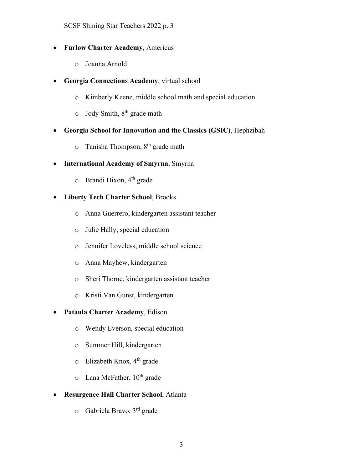SCSF Shining Star Teachers 2022 p. 3

- **Furlow Charter Academy**, Americus
	- o Joanna Arnold
- **Georgia Connections Academy**, virtual school
	- o Kimberly Keene, middle school math and special education
	- $\circ$  Jody Smith,  $8^{th}$  grade math
- **Georgia School for Innovation and the Classics (GSIC)**, Hephzibah
	- $\circ$  Tanisha Thompson,  $8<sup>th</sup>$  grade math
- **International Academy of Smyrna**, Smyrna
	- $\circ$  Brandi Dixon, 4<sup>th</sup> grade
- **Liberty Tech Charter School**, Brooks
	- o Anna Guerrero, kindergarten assistant teacher
	- o Julie Hally, special education
	- o Jennifer Loveless, middle school science
	- o Anna Mayhew, kindergarten
	- o Sheri Thorne, kindergarten assistant teacher
	- o Kristi Van Gunst, kindergarten

## • **Pataula Charter Academy**, Edison

- o Wendy Everson, special education
- o Summer Hill, kindergarten
- $\circ$  Elizabeth Knox, 4<sup>th</sup> grade
- $\circ$  Lana McFather,  $10^{th}$  grade

## • **Resurgence Hall Charter School**, Atlanta

o Gabriela Bravo, 3rd grade